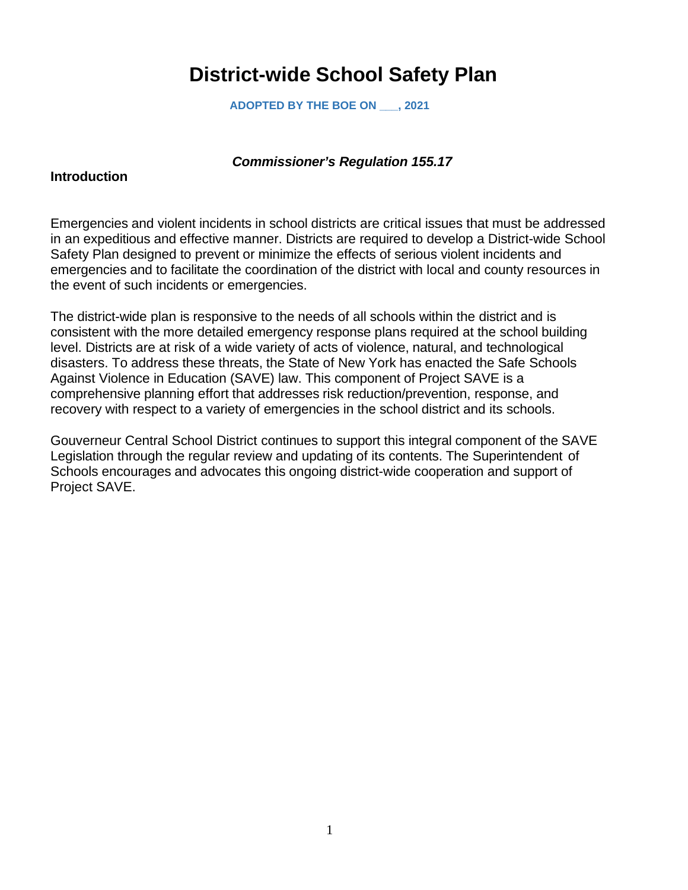# **District-wide School Safety Plan**

**ADOPTED BY THE BOE ON \_\_\_, 2021**

#### *Commissioner's Regulation 155.17*

#### **Introduction**

Emergencies and violent incidents in school districts are critical issues that must be addressed in an expeditious and effective manner. Districts are required to develop a District-wide School Safety Plan designed to prevent or minimize the effects of serious violent incidents and emergencies and to facilitate the coordination of the district with local and county resources in the event of such incidents or emergencies.

The district-wide plan is responsive to the needs of all schools within the district and is consistent with the more detailed emergency response plans required at the school building level. Districts are at risk of a wide variety of acts of violence, natural, and technological disasters. To address these threats, the State of New York has enacted the Safe Schools Against Violence in Education (SAVE) law. This component of Project SAVE is a comprehensive planning effort that addresses risk reduction/prevention, response, and recovery with respect to a variety of emergencies in the school district and its schools.

Gouverneur Central School District continues to support this integral component of the SAVE Legislation through the regular review and updating of its contents. The Superintendent of Schools encourages and advocates this ongoing district-wide cooperation and support of Project SAVE.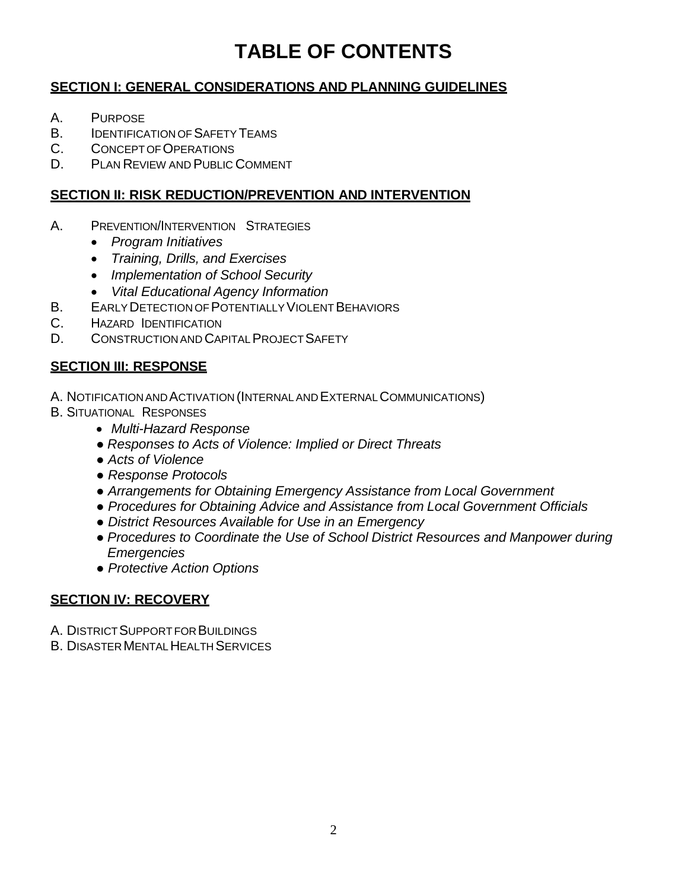# **TABLE OF CONTENTS**

# **SECTION I: GENERAL CONSIDERATIONS AND PLANNING GUIDELINES**

- A. PURPOSE
- B. **IDENTIFICATION OF SAFETY TEAMS**
- C. CONCEPTOFOPERATIONS
- D. PLAN REVIEW AND PUBLIC COMMENT

# **SECTION II: RISK REDUCTION/PREVENTION AND INTERVENTION**

- A. PREVENTION/INTERVENTION STRATEGIES
	- *Program Initiatives*
	- *Training, Drills, and Exercises*
	- *Implementation of School Security*
	- *Vital Educational Agency Information*
- B. EARLY DETECTION OF POTENTIALLY VIOLENT BEHAVIORS
- C. HAZARD IDENTIFICATION
- D. CONSTRUCTION AND CAPITAL PROJECT SAFETY

# **SECTION III: RESPONSE**

- A. NOTIFICATION AND ACTIVATION (INTERNAL AND EXTERNAL COMMUNICATIONS)
- B. SITUATIONAL RESPONSES
	- *Multi-Hazard Response*
	- *Responses to Acts of Violence: Implied or Direct Threats*
	- *Acts of Violence*
	- *Response Protocols*
	- *Arrangements for Obtaining Emergency Assistance from Local Government*
	- *Procedures for Obtaining Advice and Assistance from Local Government Officials*
	- *District Resources Available for Use in an Emergency*
	- *Procedures to Coordinate the Use of School District Resources and Manpower during Emergencies*
	- *Protective Action Options*

# **SECTION IV: RECOVERY**

- A. DISTRICT SUPPORT FOR BUILDINGS
- **B. DISASTER MENTAL HEALTH SERVICES**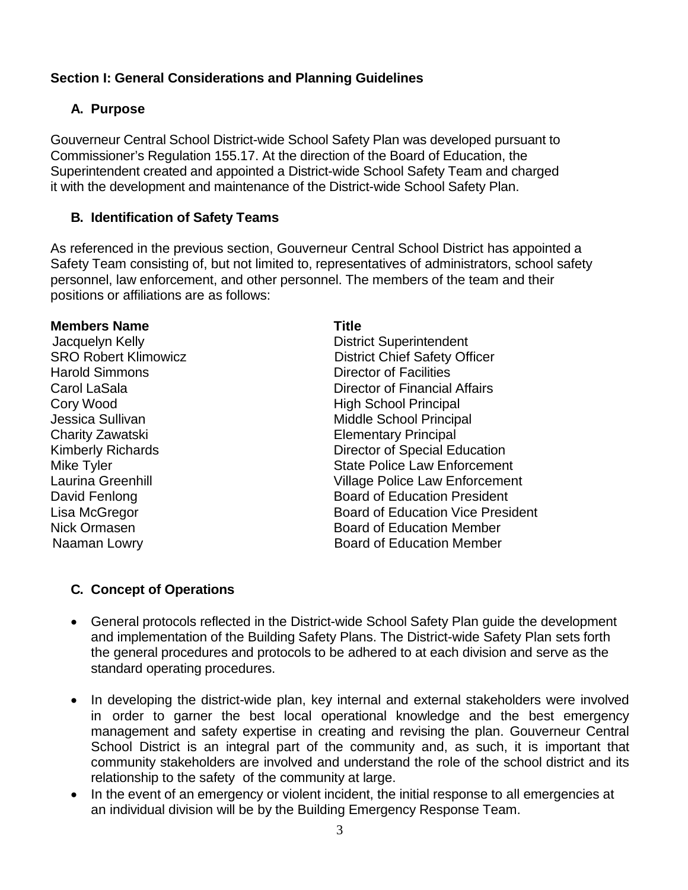# **Section I: General Considerations and Planning Guidelines**

# **A. Purpose**

Gouverneur Central School District-wide School Safety Plan was developed pursuant to Commissioner's Regulation 155.17. At the direction of the Board of Education, the Superintendent created and appointed a District-wide School Safety Team and charged it with the development and maintenance of the District-wide School Safety Plan.

# **B. Identification of Safety Teams**

As referenced in the previous section, Gouverneur Central School District has appointed a Safety Team consisting of, but not limited to, representatives of administrators, school safety personnel, law enforcement, and other personnel. The members of the team and their positions or affiliations are as follows:

#### **Members Name Title**

Harold Simmons Director of Facilities

**Jacquelyn Kelly Community Community District Superintendent SRO Robert Klimowicz Community District Chief Safety Off** District Chief Safety Officer Carol LaSala Director of Financial Affairs Cory Wood **High School Principal** Jessica Sullivan Middle School Principal Charity Zawatski Elementary Principal Kimberly Richards **Director of Special Education** Mike Tyler State Police Law Enforcement Laurina Greenhill Village Police Law Enforcement David Fenlong **Board of Education President** Lisa McGregor Board of Education Vice President Nick Ormasen Board of Education Member Naaman Lowry **Board of Education Member** 

# **C. Concept of Operations**

- General protocols reflected in the District-wide School Safety Plan guide the development and implementation of the Building Safety Plans. The District-wide Safety Plan sets forth the general procedures and protocols to be adhered to at each division and serve as the standard operating procedures.
- In developing the district-wide plan, key internal and external stakeholders were involved in order to garner the best local operational knowledge and the best emergency management and safety expertise in creating and revising the plan. Gouverneur Central School District is an integral part of the community and, as such, it is important that community stakeholders are involved and understand the role of the school district and its relationship to the safety of the community at large.
- In the event of an emergency or violent incident, the initial response to all emergencies at an individual division will be by the Building Emergency Response Team.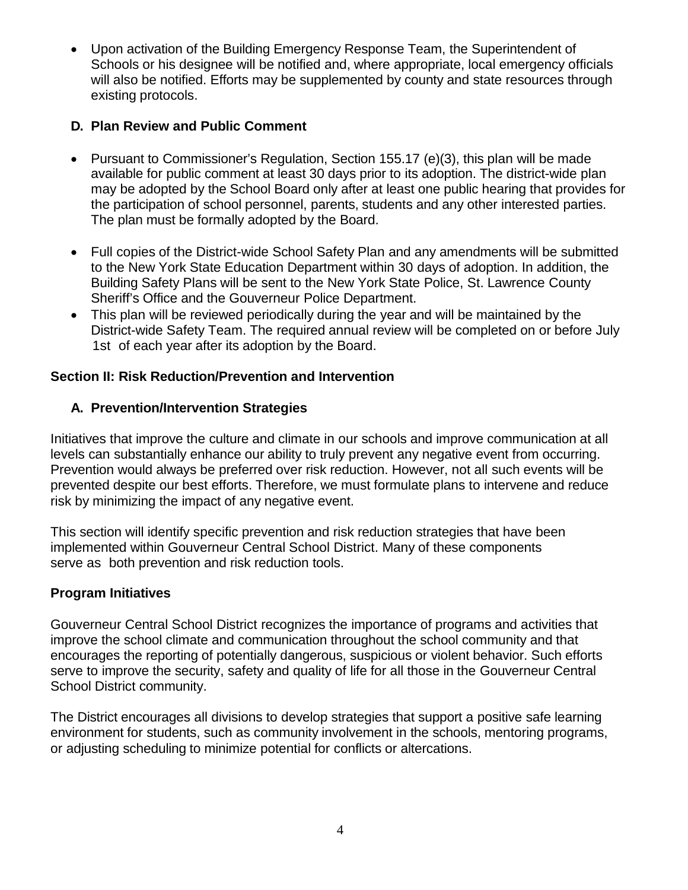• Upon activation of the Building Emergency Response Team, the Superintendent of Schools or his designee will be notified and, where appropriate, local emergency officials will also be notified. Efforts may be supplemented by county and state resources through existing protocols.

# **D. Plan Review and Public Comment**

- Pursuant to Commissioner's Regulation, Section 155.17 (e)(3), this plan will be made available for public comment at least 30 days prior to its adoption. The district-wide plan may be adopted by the School Board only after at least one public hearing that provides for the participation of school personnel, parents, students and any other interested parties. The plan must be formally adopted by the Board.
- Full copies of the District-wide School Safety Plan and any amendments will be submitted to the New York State Education Department within 30 days of adoption. In addition, the Building Safety Plans will be sent to the New York State Police, St. Lawrence County Sheriff's Office and the Gouverneur Police Department.
- This plan will be reviewed periodically during the year and will be maintained by the District-wide Safety Team. The required annual review will be completed on or before July 1st of each year after its adoption by the Board.

# **Section II: Risk Reduction/Prevention and Intervention**

# **A. Prevention/Intervention Strategies**

Initiatives that improve the culture and climate in our schools and improve communication at all levels can substantially enhance our ability to truly prevent any negative event from occurring. Prevention would always be preferred over risk reduction. However, not all such events will be prevented despite our best efforts. Therefore, we must formulate plans to intervene and reduce risk by minimizing the impact of any negative event.

This section will identify specific prevention and risk reduction strategies that have been implemented within Gouverneur Central School District. Many of these components serve as both prevention and risk reduction tools.

# **Program Initiatives**

Gouverneur Central School District recognizes the importance of programs and activities that improve the school climate and communication throughout the school community and that encourages the reporting of potentially dangerous, suspicious or violent behavior. Such efforts serve to improve the security, safety and quality of life for all those in the Gouverneur Central School District community.

The District encourages all divisions to develop strategies that support a positive safe learning environment for students, such as community involvement in the schools, mentoring programs, or adjusting scheduling to minimize potential for conflicts or altercations.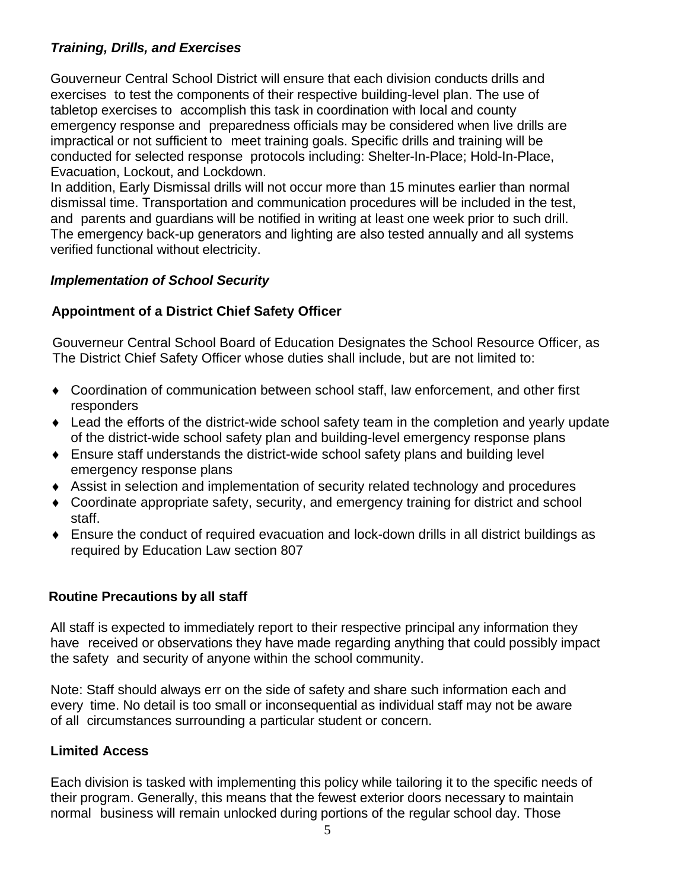# *Training, Drills, and Exercises*

Gouverneur Central School District will ensure that each division conducts drills and exercises to test the components of their respective building-level plan. The use of tabletop exercises to accomplish this task in coordination with local and county emergency response and preparedness officials may be considered when live drills are impractical or not sufficient to meet training goals. Specific drills and training will be conducted for selected response protocols including: Shelter-In-Place; Hold-In-Place, Evacuation, Lockout, and Lockdown.

In addition, Early Dismissal drills will not occur more than 15 minutes earlier than normal dismissal time. Transportation and communication procedures will be included in the test, and parents and guardians will be notified in writing at least one week prior to such drill. The emergency back-up generators and lighting are also tested annually and all systems verified functional without electricity.

# *Implementation of School Security*

# **Appointment of a District Chief Safety Officer**

Gouverneur Central School Board of Education Designates the School Resource Officer, as The District Chief Safety Officer whose duties shall include, but are not limited to:

- ♦ Coordination of communication between school staff, law enforcement, and other first responders
- ♦ Lead the efforts of the district-wide school safety team in the completion and yearly update of the district-wide school safety plan and building-level emergency response plans
- ♦ Ensure staff understands the district-wide school safety plans and building level emergency response plans
- ♦ Assist in selection and implementation of security related technology and procedures
- ♦ Coordinate appropriate safety, security, and emergency training for district and school staff.
- ♦ Ensure the conduct of required evacuation and lock-down drills in all district buildings as required by Education Law section 807

# **Routine Precautions by all staff**

All staff is expected to immediately report to their respective principal any information they have received or observations they have made regarding anything that could possibly impact the safety and security of anyone within the school community.

Note: Staff should always err on the side of safety and share such information each and every time. No detail is too small or inconsequential as individual staff may not be aware of all circumstances surrounding a particular student or concern.

# **Limited Access**

Each division is tasked with implementing this policy while tailoring it to the specific needs of their program. Generally, this means that the fewest exterior doors necessary to maintain normal business will remain unlocked during portions of the regular school day. Those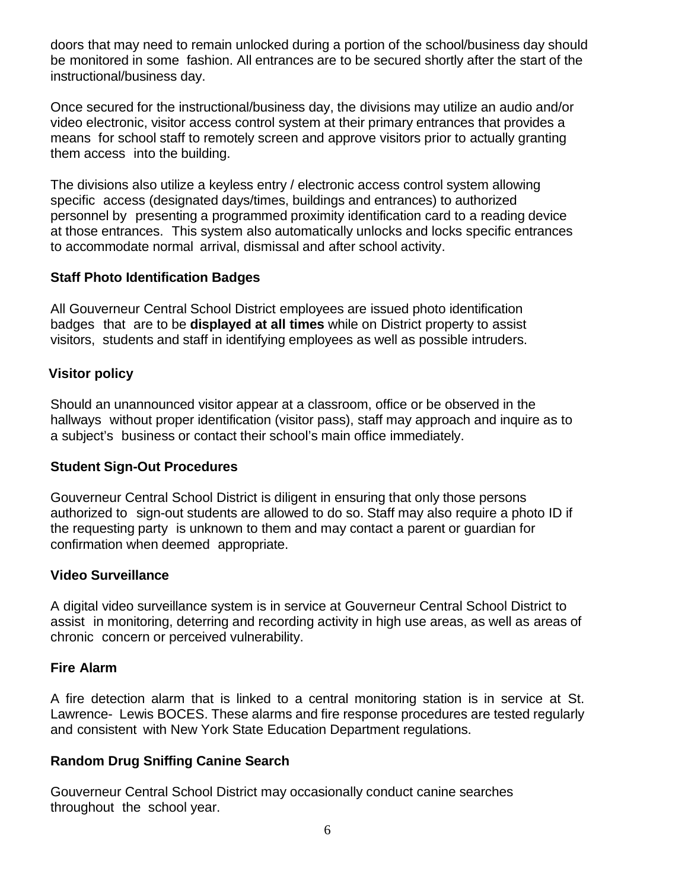doors that may need to remain unlocked during a portion of the school/business day should be monitored in some fashion. All entrances are to be secured shortly after the start of the instructional/business day.

Once secured for the instructional/business day, the divisions may utilize an audio and/or video electronic, visitor access control system at their primary entrances that provides a means for school staff to remotely screen and approve visitors prior to actually granting them access into the building.

The divisions also utilize a keyless entry / electronic access control system allowing specific access (designated days/times, buildings and entrances) to authorized personnel by presenting a programmed proximity identification card to a reading device at those entrances. This system also automatically unlocks and locks specific entrances to accommodate normal arrival, dismissal and after school activity.

### **Staff Photo Identification Badges**

All Gouverneur Central School District employees are issued photo identification badges that are to be **displayed at all times** while on District property to assist visitors, students and staff in identifying employees as well as possible intruders.

# **Visitor policy**

Should an unannounced visitor appear at a classroom, office or be observed in the hallways without proper identification (visitor pass), staff may approach and inquire as to a subject's business or contact their school's main office immediately.

#### **Student Sign-Out Procedures**

Gouverneur Central School District is diligent in ensuring that only those persons authorized to sign-out students are allowed to do so. Staff may also require a photo ID if the requesting party is unknown to them and may contact a parent or guardian for confirmation when deemed appropriate.

#### **Video Surveillance**

A digital video surveillance system is in service at Gouverneur Central School District to assist in monitoring, deterring and recording activity in high use areas, as well as areas of chronic concern or perceived vulnerability.

#### **Fire Alarm**

A fire detection alarm that is linked to a central monitoring station is in service at St. Lawrence- Lewis BOCES. These alarms and fire response procedures are tested regularly and consistent with New York State Education Department regulations.

# **Random Drug Sniffing Canine Search**

Gouverneur Central School District may occasionally conduct canine searches throughout the school year.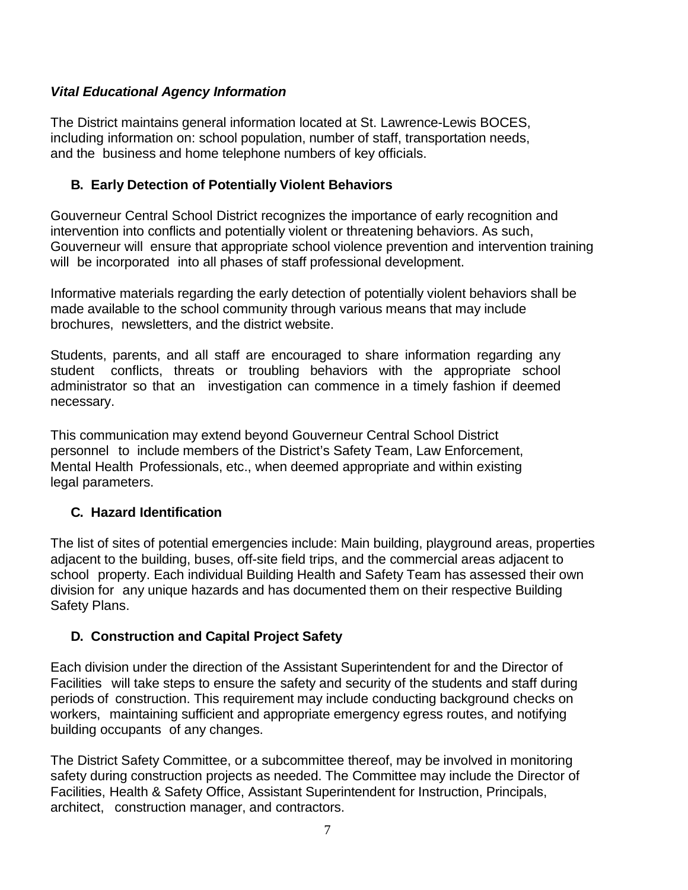# *Vital Educational Agency Information*

The District maintains general information located at St. Lawrence-Lewis BOCES, including information on: school population, number of staff, transportation needs, and the business and home telephone numbers of key officials.

# **B. Early Detection of Potentially Violent Behaviors**

Gouverneur Central School District recognizes the importance of early recognition and intervention into conflicts and potentially violent or threatening behaviors. As such, Gouverneur will ensure that appropriate school violence prevention and intervention training will be incorporated into all phases of staff professional development.

Informative materials regarding the early detection of potentially violent behaviors shall be made available to the school community through various means that may include brochures, newsletters, and the district website.

Students, parents, and all staff are encouraged to share information regarding any student conflicts, threats or troubling behaviors with the appropriate school administrator so that an investigation can commence in a timely fashion if deemed necessary.

This communication may extend beyond Gouverneur Central School District personnel to include members of the District's Safety Team, Law Enforcement, Mental Health Professionals, etc., when deemed appropriate and within existing legal parameters.

# **C. Hazard Identification**

The list of sites of potential emergencies include: Main building, playground areas, properties adjacent to the building, buses, off-site field trips, and the commercial areas adjacent to school property. Each individual Building Health and Safety Team has assessed their own division for any unique hazards and has documented them on their respective Building Safety Plans.

# **D. Construction and Capital Project Safety**

Each division under the direction of the Assistant Superintendent for and the Director of Facilities will take steps to ensure the safety and security of the students and staff during periods of construction. This requirement may include conducting background checks on workers, maintaining sufficient and appropriate emergency egress routes, and notifying building occupants of any changes.

The District Safety Committee, or a subcommittee thereof, may be involved in monitoring safety during construction projects as needed. The Committee may include the Director of Facilities, Health & Safety Office, Assistant Superintendent for Instruction, Principals, architect, construction manager, and contractors.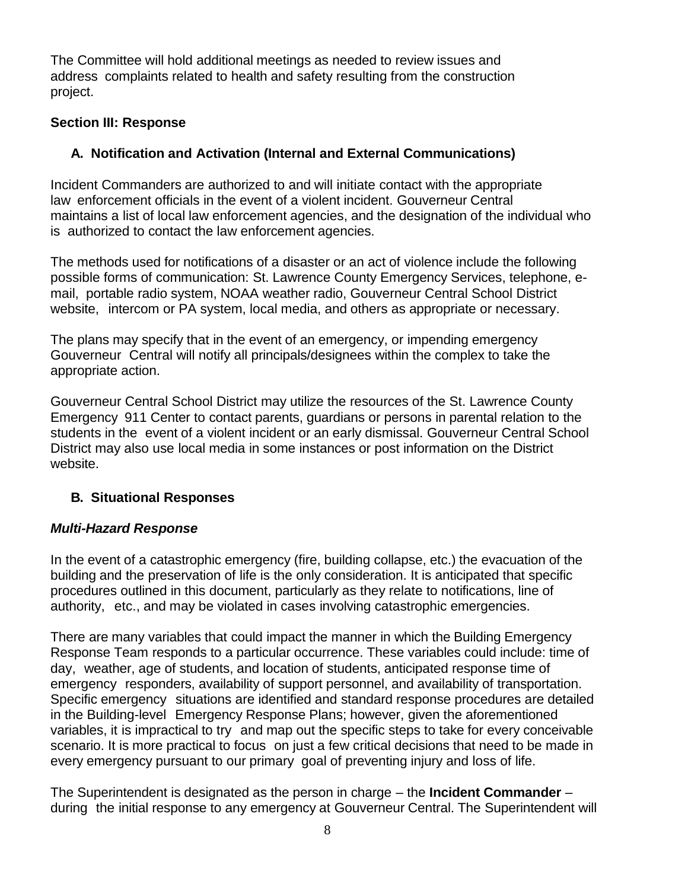The Committee will hold additional meetings as needed to review issues and address complaints related to health and safety resulting from the construction project.

# **Section III: Response**

# **A. Notification and Activation (Internal and External Communications)**

Incident Commanders are authorized to and will initiate contact with the appropriate law enforcement officials in the event of a violent incident. Gouverneur Central maintains a list of local law enforcement agencies, and the designation of the individual who is authorized to contact the law enforcement agencies.

The methods used for notifications of a disaster or an act of violence include the following possible forms of communication: St. Lawrence County Emergency Services, telephone, email, portable radio system, NOAA weather radio, Gouverneur Central School District website, intercom or PA system, local media, and others as appropriate or necessary.

The plans may specify that in the event of an emergency, or impending emergency Gouverneur Central will notify all principals/designees within the complex to take the appropriate action.

Gouverneur Central School District may utilize the resources of the St. Lawrence County Emergency 911 Center to contact parents, guardians or persons in parental relation to the students in the event of a violent incident or an early dismissal. Gouverneur Central School District may also use local media in some instances or post information on the District website.

# **B. Situational Responses**

# *Multi-Hazard Response*

In the event of a catastrophic emergency (fire, building collapse, etc.) the evacuation of the building and the preservation of life is the only consideration. It is anticipated that specific procedures outlined in this document, particularly as they relate to notifications, line of authority, etc., and may be violated in cases involving catastrophic emergencies.

There are many variables that could impact the manner in which the Building Emergency Response Team responds to a particular occurrence. These variables could include: time of day, weather, age of students, and location of students, anticipated response time of emergency responders, availability of support personnel, and availability of transportation. Specific emergency situations are identified and standard response procedures are detailed in the Building-level Emergency Response Plans; however, given the aforementioned variables, it is impractical to try and map out the specific steps to take for every conceivable scenario. It is more practical to focus on just a few critical decisions that need to be made in every emergency pursuant to our primary goal of preventing injury and loss of life.

The Superintendent is designated as the person in charge – the **Incident Commander** – during the initial response to any emergency at Gouverneur Central. The Superintendent will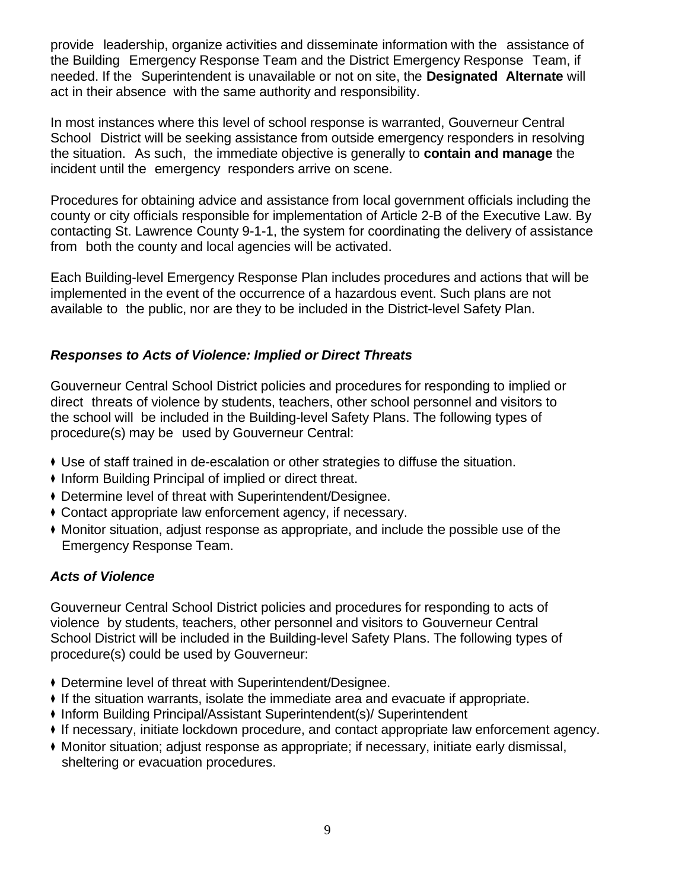provide leadership, organize activities and disseminate information with the assistance of the Building Emergency Response Team and the District Emergency Response Team, if needed. If the Superintendent is unavailable or not on site, the **Designated Alternate** will act in their absence with the same authority and responsibility.

In most instances where this level of school response is warranted, Gouverneur Central School District will be seeking assistance from outside emergency responders in resolving the situation. As such, the immediate objective is generally to **contain and manage** the incident until the emergency responders arrive on scene.

Procedures for obtaining advice and assistance from local government officials including the county or city officials responsible for implementation of Article 2-B of the Executive Law. By contacting St. Lawrence County 9-1-1, the system for coordinating the delivery of assistance from both the county and local agencies will be activated.

Each Building-level Emergency Response Plan includes procedures and actions that will be implemented in the event of the occurrence of a hazardous event. Such plans are not available to the public, nor are they to be included in the District-level Safety Plan.

# *Responses to Acts of Violence: Implied or Direct Threats*

Gouverneur Central School District policies and procedures for responding to implied or direct threats of violence by students, teachers, other school personnel and visitors to the school will be included in the Building-level Safety Plans. The following types of procedure(s) may be used by Gouverneur Central:

- ◆ Use of staff trained in de-escalation or other strategies to diffuse the situation.
- ◆ Inform Building Principal of implied or direct threat.
- ◆ Determine level of threat with Superintendent/Designee.
- ◆ Contact appropriate law enforcement agency, if necessary.
- ◆ Monitor situation, adjust response as appropriate, and include the possible use of the Emergency Response Team.

# *Acts of Violence*

Gouverneur Central School District policies and procedures for responding to acts of violence by students, teachers, other personnel and visitors to Gouverneur Central School District will be included in the Building-level Safety Plans. The following types of procedure(s) could be used by Gouverneur:

- ◆ Determine level of threat with Superintendent/Designee.
- ◆ If the situation warrants, isolate the immediate area and evacuate if appropriate.
- ◆ Inform Building Principal/Assistant Superintendent(s)/ Superintendent
- ◆ If necessary, initiate lockdown procedure, and contact appropriate law enforcement agency.
- ◆ Monitor situation; adjust response as appropriate; if necessary, initiate early dismissal, sheltering or evacuation procedures.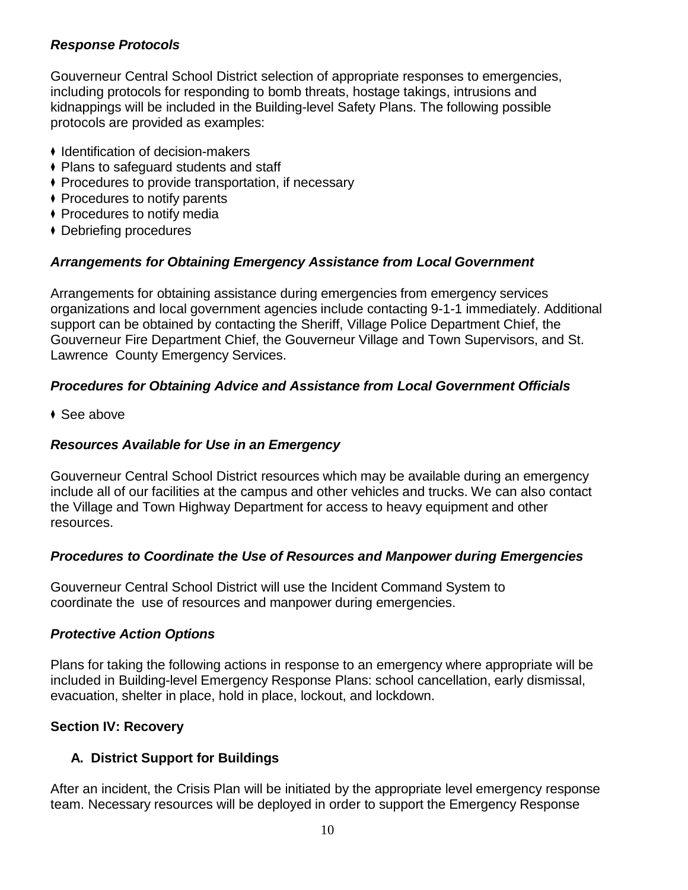### *Response Protocols*

Gouverneur Central School District selection of appropriate responses to emergencies, including protocols for responding to bomb threats, hostage takings, intrusions and kidnappings will be included in the Building-level Safety Plans. The following possible protocols are provided as examples:

- ◆ Identification of decision-makers
- ◆ Plans to safeguard students and staff
- ◆ Procedures to provide transportation, if necessary
- ◆ Procedures to notify parents
- ◆ Procedures to notify media
- ◆ Debriefing procedures

# *Arrangements for Obtaining Emergency Assistance from Local Government*

Arrangements for obtaining assistance during emergencies from emergency services organizations and local government agencies include contacting 9-1-1 immediately. Additional support can be obtained by contacting the Sheriff, Village Police Department Chief, the Gouverneur Fire Department Chief, the Gouverneur Village and Town Supervisors, and St. Lawrence County Emergency Services.

# *Procedures for Obtaining Advice and Assistance from Local Government Officials*

◆ See above

# *Resources Available for Use in an Emergency*

Gouverneur Central School District resources which may be available during an emergency include all of our facilities at the campus and other vehicles and trucks. We can also contact the Village and Town Highway Department for access to heavy equipment and other resources.

#### *Procedures to Coordinate the Use of Resources and Manpower during Emergencies*

Gouverneur Central School District will use the Incident Command System to coordinate the use of resources and manpower during emergencies.

#### *Protective Action Options*

Plans for taking the following actions in response to an emergency where appropriate will be included in Building-level Emergency Response Plans: school cancellation, early dismissal, evacuation, shelter in place, hold in place, lockout, and lockdown.

# **Section IV: Recovery**

# **A. District Support for Buildings**

After an incident, the Crisis Plan will be initiated by the appropriate level emergency response team. Necessary resources will be deployed in order to support the Emergency Response